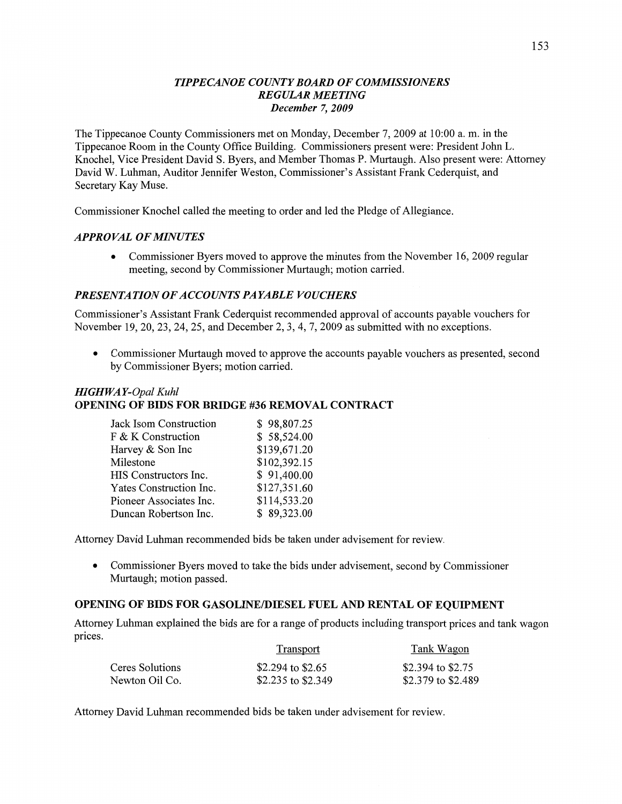#### *TIPPECANOE COUNTY BOARD* OF *COMMISSIONERS REGULAR MEETING December* 7, *2009*

The Tippecanoe County Commissioners met on Monday, December 7, 2009 at 10:00 a. m. in the Tippecanoe **Room** in the County Office Building. Commissioners present were: President John L. Knochel, **Vice** President David S. Byers, and Member **Thomas** P. Murtaugh. Also present were: Attorney David W. **Luhman,** Auditor Jennifer Weston, Commissioner's Assistant **Frank** Cederquist, and Secretary Kay Muse.

Commissioner Knochel called the meeting to order and led the Pledge of Allegiance.

#### *APPROVAL* OF *MINUTES*

**0** Commissioner Byers moved to approve the minutes **from** the November 16, 2009 regular meeting, second by Commissioner Murtaugh; motion carried.

#### **PRESENTATION OF ACCOUNTS PAYABLE VOUCHERS**

Commissioner's Assistant Frank Cederquist recommended approval of accounts payable vouchers for November 19, 20, 23, 24, 25, and December 2, 3, 4, 7, 2009 as submitted with no exceptions.

**0** Commissioner Murtaugh moved to **approve** the accounts payable vouchers as presented, second by Commissioner Byers; motion carried.

### *HIGH* WA *Y-Opal Kuhl*  **OPENING** OF **BIDS** FOR **BRIDGE** #36 **REMOVAL CONTRACT**

| Jack Isom Construction  | \$98,807.25  |
|-------------------------|--------------|
| F & K Construction      | \$58,524.00  |
| Harvey & Son Inc        | \$139,671.20 |
| Milestone               | \$102,392.15 |
| HIS Constructors Inc.   | \$91,400.00  |
| Yates Construction Inc. | \$127,351.60 |
| Pioneer Associates Inc. | \$114,533.20 |
| Duncan Robertson Inc.   | \$89,323.00  |

Attorney David Luhman recommended bids be taken under advisement for review.

**0 Commissioner** Byers moved to take the bids under advisement, second by Commissioner Murtaugh; motion passed.

### **OPENING** OF **BIDS** FOR **GASOLINE/DIESEL FUEL** AND **RENTAL** OF **EQUIPMENT**

Attorney **Luhman** explained the bids are for a range of products including transport prices and **tank** wagon prices.

|                 | Transport          | <b>Tank Wagon</b>  |
|-----------------|--------------------|--------------------|
| Ceres Solutions | \$2.294 to \$2.65  | \$2.394 to \$2.75  |
| Newton Oil Co.  | \$2.235 to \$2.349 | \$2.379 to \$2.489 |

Attorney David **Luhman** recommended bids be taken under advisement for review.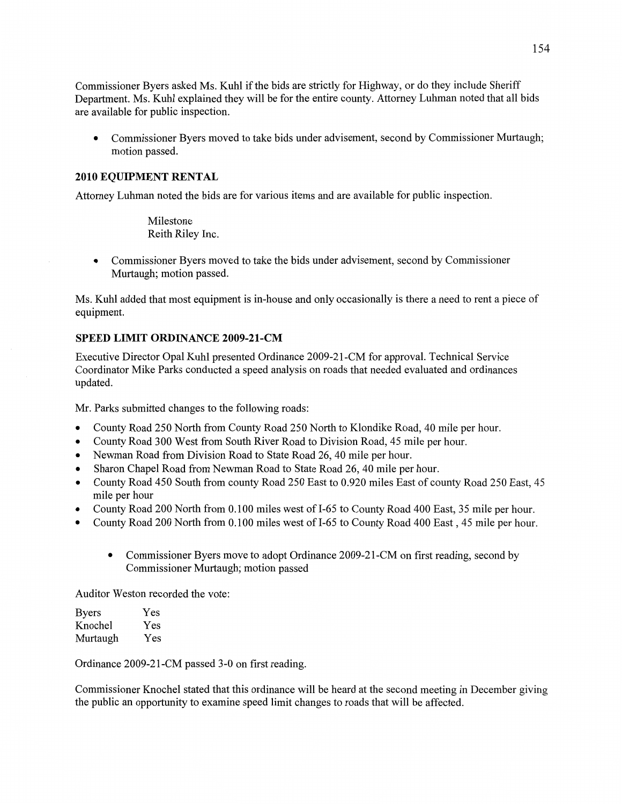Commissioner Byers asked Ms. Kuhl if the bids are strictly for Highway, or do they include Sheriff Department. Ms. **Kuhl** explained they will be for the entire county. Attorney **Luhman** noted **that** all bids are available for public inspection.

**0** Commissioner Byers moved to take bids under advisement, second by Commissioner Murtaugh; motion passed.

#### **2010 EQUIPMENT RENTAL**

Attorney Luhman noted the bids are for various items and are available for public inspection.

Milestone Reith Riley Inc.

• Commissioner Byers moved to take the bids under advisement, second by Commissioner Murtaugh; motion passed.

Ms. Kuhl added **that** most equipment is **in—house** and only occasionally is there a need to rent a piece of equipment.

#### **SPEED LIMIT ORDINANCE 2009-21-CM**

Executive Director Opal Kuhl presented Ordinance 2009—21-CM for approval. Technical Service Coordinator Mike Parks conducted a speed analysis on roads **that** needed evaluated and ordinances updated.

Mr. Parks submitted changes to the following roads:

- County **Road** 250 North from County **Road** 250 North to Klondike Road, 40 **mile** per hour.  $\bullet$
- County Road 300 West from South River Road to Division Road, 45 mile per hour.  $\bullet$
- Newman Road from Division Road to State Road 26, 40 mile per hour.  $\bullet$
- Sharon Chapel Road from Newman Road to State Road 26, 40 mile per hour.  $\bullet$
- County Road 450 South from county Road 250 East to 0.920 miles East of county Road 250 **East,** 45  $\bullet$ mile per hour
- County Road 200 North from **0.100** miles west of I-65 to County Road 400 East, 35 mile per hour.
- County Road 200 North from 0.100 miles west of I-65 to County Road 400 East *,* 45 mile per hour.
	- Commissioner Byers move to adopt Ordinance 2009-21-CM on first reading, second by Commissioner Murtaugh; motion passed

Auditor Weston recorded the vote:

Byers Yes Knochel Yes Murtaugh Yes

Ordinance 2009-21-CM passed 3-0 on first reading.

Commissioner Knochel stated that this ordinance will be heard at the second meeting in December giving the public an opportunity to examine speed **limit** changes to roads **that** will be affected.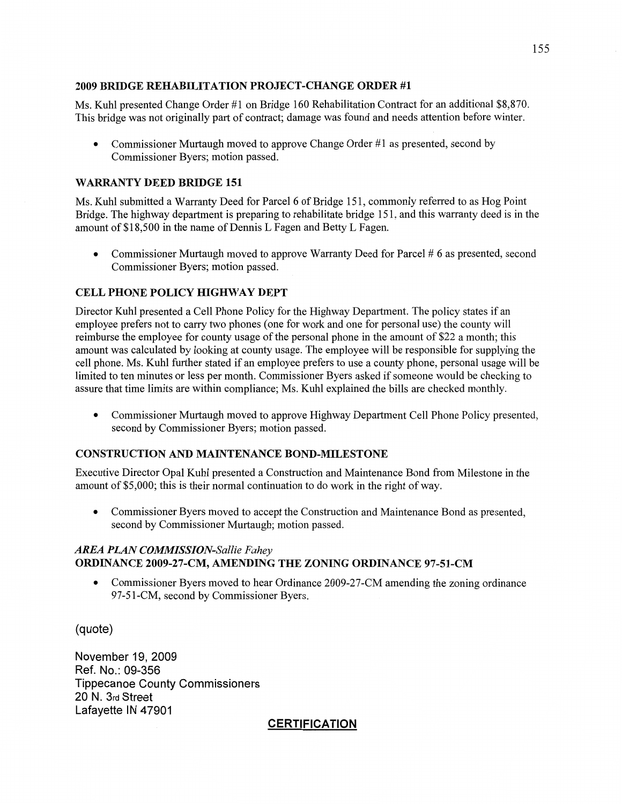### **2009 BRIDGE REHABILITATION PROJECT-CHANGE ORDER** #1

Ms. Kuhl presented Change Order #1 on Bridge 160 Rehabilitation Contract for an additional \$8,870. This bridge was not originally part of contract; damage was found and needs attention before winter.

• Commissioner Murtaugh moved to approve Change Order #1 as presented, second by Commissioner Byers; motion passed.

## **WARRANTY DEED BRIDGE** 151

Ms. Kuhl submitted a Warranty Deed for Parcel 6 of Bridge 151, commonly referred to as Hog Point Bridge. The highway department is preparing to rehabilitate bridge 151, and this warranty deed is in the **amount** of \$18,500 in the name of **Dennis L** Fagen and Betty L Fagen.

*0* Commissioner Murtaugh moved to approve Warranty Deed for Parcel *#* **6** as presented, second Commissioner Byers; motion passed.

# **CELL PHONE POLICY HIGHWAY DEPT**

Director Kuhl presented a Cell **Phone** Policy for the Highway Department. The policy states if an employee prefers not to carry two phones (one for work and one for personal use) the county will reimburse the employee for county usage of the personal phone in the amount of \$22 **a** month; this **amount** was calculated by looking at county usage. The employee will be responsible for supplying the cell phone. Ms. Kuhl further stated if an employee prefers to use a county phone, personal usage will be limited to ten **minutes** or **less** per month. Commissioner Byers asked if someone would be checking to assure **that time** limits are within compliance; Ms. Kuhl explained the bills are checked monthly.

**0** Commissioner Murtaugh **moved** to approve Highway Department Cell Phone Policy presented, second by **Commissioner** Byers; motion passed.

### **CONSTRUCTION** AND **MAINTENANCE BOND-MILESTONE**

Executive Director Opal Kuhl presented a Construction and Maintenance Bond from Milestone in the amount of \$5,000; this is their normal continuation to do work in the right of way.

**0** Commissioner Byers moved to accept the Construction and Maintenance **Bond** as presented, second by Commissioner Murtaugh; motion passed.

### *AREA PLAN COMMISSION-Sallie Fahey*  **ORDINANCE 2009-27-CM, AMENDING** THE **ZONING ORDINANCE 97—51-CM**

**0** Commissioner Byers moved to hear Ordinance 2009-27—CM amending the zoning ordinance 97—51-CM, second by Commissioner Byers.

(quote)

November 19, 2009 Ref. No.: 09-356 Tippecanoe County **Commissioners**  20 N. 3rd **Street**  Lafayette IN 47901

# *.* **CERTIFICATION**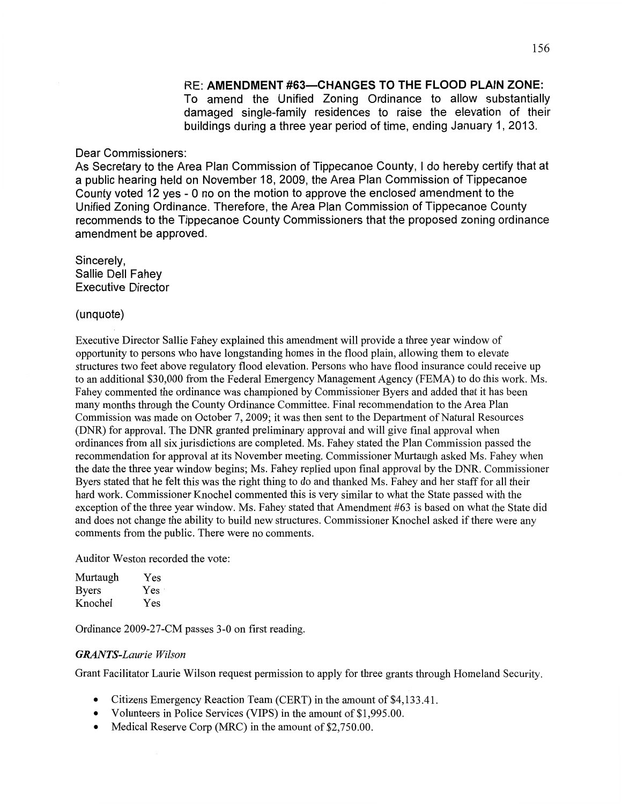RE: AMENDMENT **#63—CHANGES** TO THE FLOOD **PLAIN ZONE:**  To amend the **Unified** Zoning Ordinance to allow substantially damaged single-family residences to raise the elevation of **their**  buildings during a three year period of time, ending January 1, 2013.

#### Dear Commissioners:

As Secretary to the Area Plan Commission of Tippecanoe County, I do hereby certify that at a public hearing held on November 18, 2009, the Area Plan **Commission** of Tippecanoe County voted 12 yes **-** 0 no on the motion to approve the enclosed **amendment** to the Unified Zoning Ordinance. Therefore, the Area Plan Commission of Tippecanoe **County recommends** to the **Tippecanoe** County **Commissioners** that the proposed zoning ordinance amendment be **approved.** 

Sincerely, Sallie Dell Fahey Executive **Director** 

(unquote)

Executive Director Sallie Fahey explained this amendment will provide **a** three year window of opportunity to persons who **have** longstanding **homes** in the flood plain, allowing them to elevate structures two feet above regulatory flood elevation. Persons who have **flood** insurance could receive up to an additional \$30,000 from the Federal Emergency Management Agency (FEMA) to do **this** work. Ms. Fahey commented the ordinance was championed by Commissioner Byers and added that it has been many months through the County Ordinance Committee. Final recommendation to the Area Plan Commission was made on October 7, 2009; it was then sent to the Department of Natural Resources (DNR) for approval. The DNR granted preliminary approval and will give final approval when ordinances from all six jurisdictions are completed. Ms. Fahey stated the Plan Commission passed the recommendation for approval at its November meeting. Commissioner Murtaugh asked Ms. Fahey when the date the three year Window begins; Ms. Fahey replied upon final approval by the DNR. Commissioner Byers stated that he felt **this** was the right thing to do and **thanked** Ms. Fahey and her staff for all their **hard** work. Commissioner Knochel commented **this** is very similar to what the State passed with the exception of the three year window. Ms. Fahey stated **that** Amendment #63 is based on what the State did and does not change the ability to build new structures. Commissioner Knochel asked if there were any comments from the public. There were no comments.

Auditor Weston recorded the vote:

| Murtaugh     | Yes  |
|--------------|------|
| <b>Byers</b> | Yes: |
| Knochel      | Yes  |

Ordinance 2009-27-CM passes 3-0 on first reading.

#### *GRANTS-Laurie Wilson*

Grant Facilitator Laurie Wilson request **permission** to apply for three grants through Homeland Security.

- **0** Citizens Emergency Reaction Team (CERT) in the amount of **\$4,133.41.**
- **0** Volunteers in Police Services (VIPS) in the amount of \$1,995.00.
- **0** Medical Reserve Corp (MRC) in the amount of \$2,750.00.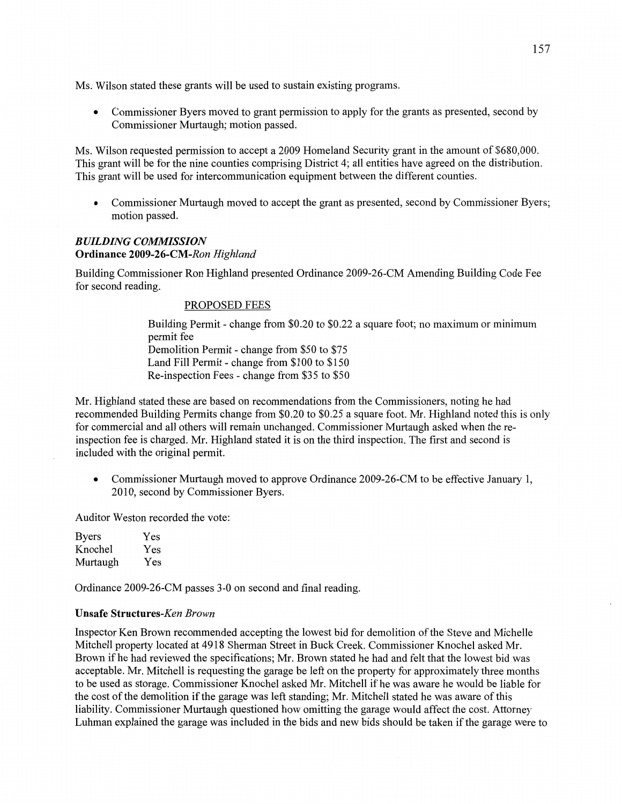Ms. Wilson stated these grants **will** be used to sustain existing programs.

**0** Commissioner Byers moved to grant permission to apply for the grants as presented, second by Commissioner Murtaugh; motion passed.

Ms. Wilson requested permission to accept **a** 2009 Homeland Security grant in the amount of \$680,000. **This** grant will be for the **nine** counties comprising District 4; all entities have agreed on the distribution. **This** grant will be used for intercommunication equipment between the different counties.

**0** Commissioner Murtaugh moved to accept the grant as presented, second by Commissioner Byers; **motion** passed.

#### *B UILDING COMMISSION*  **Ordinance 2009-26-CM-R0n** *Highland*

Building Commissioner Ron Highland presented Ordinance 2009-26-CM Amending Building **Code** Fee for second reading.

#### PROPOSED FEES

Building Permit **-** change from \$0.20 to \$0.22 a square foot; no **maximum** or minimum permit fee Demolition Permit *-* change from \$50 to \$75 Land Fill Permit **-** change from \$100 to \$150 Re—inspection Fees *-* change **from** \$35 to \$50

Mr. Highland stated these are based on recommendations from the Commissioners, noting he had recommended Building Permits change from \$0.20 to \$0.25 a square foot. Mr. Highland noted this is only for commercial and all others will remain unchanged. Commissioner **Murtaugh** asked when the reinspection fee is charged. Mr. Highland stated it is on the third inspection. The first and second is included with the original permit.

**0** Commissioner Murtaugh **moved** to approve Ordinance 2009-26-CM to be effective January 1, 2010, second by Commissioner Byers.

Auditor Weston recorded the vote:

| <b>Byers</b> | Yes |
|--------------|-----|
| Knochel      | Yes |
| Murtaugh     | Yes |

Ordinance 2009-26-CM passes 3-0 on second and final reading.

#### **Unsafe Structures-Ken** *Brown*

Inspector Ken Brown recommended accepting the lowest bid for **demolition** of the Steve and Michelle Mitchell property located at 4918 Sherman Street in Buck Creek. Commissioner Knochel asked Mr. Brown if he had reviewed the specifications; Mr. Brown stated he had and felt **that** the lowest bid was acceptable. Mr. Mitchell is requesting the garage be left on the property for approximately three months to be used as storage. Commissioner Knochel asked Mr. Mitchell if he was aware he would be liable for the cost of the demolition if the garage was left standing; Mr. Mitchell stated he was aware of this liability. Commissioner Murtaugh questioned how omitting the garage would affect the cost. Attorney **Luhman** explained the garage was included in the bids and new bids should be taken if the garage were to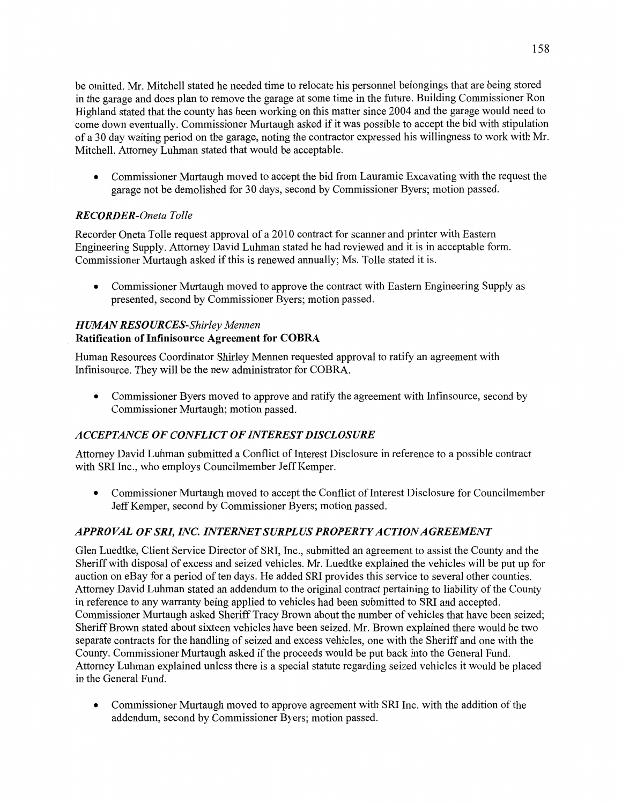be omitted. Mr. Mitchell stated he needed time to relocate his personnel belongings that are being stored in the garage and does plan to remove the garage at some time in the future. Building Commissioner Ron Highland stated that the county has **been** working on this matter since 2004 and the garage would need to come down eventually. Commissioner Murtaugh asked if it was possible to accept the bid with stipulation of a 30 day waiting period on the garage, noting the contractor expressed his willingness to work with Mr. Mitchell. Attorney Luhman stated that would be acceptable.

**0** Commissioner Murtaugh moved to accept the bid from Lauramie Excavating With the request the garage not be demolished for 30 days, second by Commissioner Byers; motion passed.

# **RECORDER-**Oneta Tolle

Recorder Oneta Tolle request approval of a 2010 contract for scanner and printer with Eastern Engineering Supply. Attorney David Luhman stated he had reviewed and it is in acceptable form. Commissioner Murtaugh asked if **this** is renewed annually; Ms. Tolle stated it is.

• Commissioner Murtaugh moved to approve the contract with Eastern Engineering Supply as presented, second by Commissioner Byers; motion passed.

### *H* (fill/1N *RESO URGES-Shirley Mennen <sup>4</sup>***Ratification** of **Infinisource Agreement** for **COBRA**

Human Resources Coordinator Shirley Mennen requested approval to ratify an agreement with Inf'misource. They will be the new **administrator** for COBRA.

**0** Commissioner Byers moved to approve and ratify the agreement with Infinsource, second by Commissioner Murtaugh; motion passed.

# *ACCEPTANCE* OF *CONFLICT* OF *INTEREST DISCLOSURE*

Attorney David Luhman submitted a Conflict of Interest Disclosure in reference to a possible contract with SRI Inc., who employs Councilmember Jeff Kemper.

**0** Commissioner Murtaugh **moved** to accept the Conflict of Interest Disclosure for Councilmember Jeff Kemper, second by Commissioner Byers; motion passed.

# *APPROVAL* OF *SRI, INC. INTERAET SURPLUS PROPERTY* ACT ION *AGREEMENT*

Glen Luedtke, Client Service Director of SR1, Inc., submitted an agreement to assist the County and the **Sheriff** with disposal of excess and seized vehicles. Mr. Luedtke explained the vehicles will be put up for auction on eBay for a period of ten days. He added SR1 provides this service to several other counties. Attorney David **Luhman** stated an addendum to the original contract pertaining to liability of the County in reference to any warranty being applied to vehicles had been submitted to SRI and accepted. Commissioner Murtaugh asked Sheriff Tracy Brown about the number of vehicles that have been seized; Sheriff Brown stated about sixteen vehicles have been seized. Mr. Brown explained there would be two separate contracts for the handling of seized and excess vehicles, one with the Sheriff and one with the County. Commissioner Murtaugh asked if the proceeds would be put back into the General Fund. Attorney Luhman explained unless there is **a** special statute regarding seized vehicles it would be placed in the General Fund.

**0** Commissioner Murtaugh moved to approve agreement with SRI Inc. with the addition of the addendum, second by Commissioner Byers; motion passed.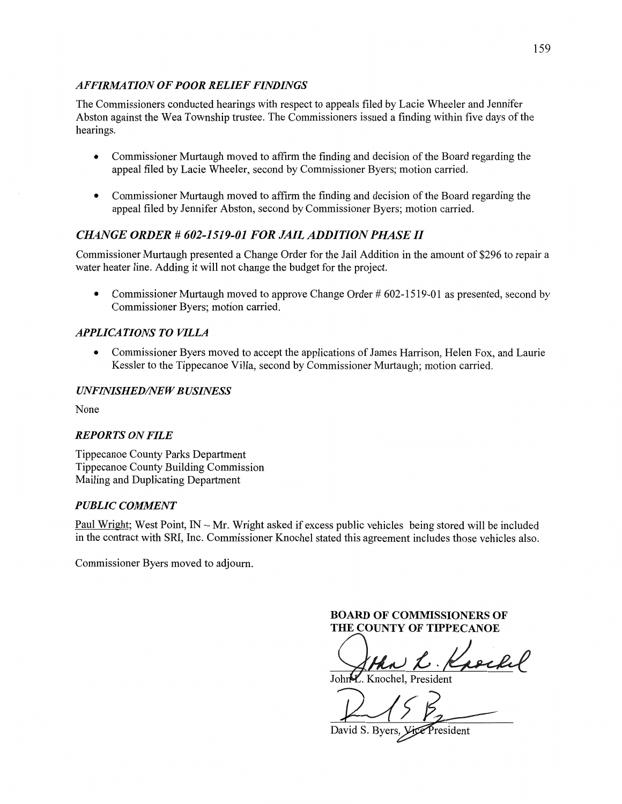### *AFFIRIIMT* ION 0F *POOR RELIEF FINDINGS*

The Commissioners conducted hearings with respect to appeals filed by Lacie Wheeler and Jennifer Abston against the Wea Township trustee. The Commissioners issued a **finding** within five days of the hearings.

- *0* Commissioner Murtaugh moved to affirm the finding and decision of the Board regarding the appeal filed by Lacie Wheeler, second by Commissioner Byers; motion carried.
- **0** Commissioner Murtaugh moved to affirm the finding and decision of the Board regarding the appeal filed by Jennifer Abston, second by Commissioner Byers; motion carried.

### *CH4N* GE *ORDER # 602-1519-01* FOR *JAIL ADDITION PIL4SE* II

Commissioner Murtaugh presented **a** Change Order for the Jail Addition in the amount of \$296 to repair a water heater line. Adding it will not change the budget for the project.

• Commissioner Murtaugh moved to approve Change Order # 602-1519-01 as presented, second by Commissioner Byers; motion carried.

#### *APPLICATIONS T 0 VILLA*

**0** Commissioner Byers moved to accept the applications of James Harrison, Helen **Fox,** and Laurie Kessler to the Tippecanoe Villa, second by Commissioner Murtaugh; motion carried.

#### *UNFINISHED/NEW BUSINESS*

None

#### *REPORTS* ON *FILE*

Tippecanoe County Parks Department Tippecanoe County Building Commission Mailing and Duplicating Department

#### *PUBLIC COMMENT*

Paul Wright; West **Point,** IN — Mr. **Wright** asked if excess public vehicles being stored will be included in the contract with SR1, Inc. Commissioner Knochel stated this agreement includes those vehicles also.

Commissioner Byers **moved** to adjourn.

**BOARD** OF **COMNHSSIONERS** OF **THE COUNTY OF TIPPECANOE** 

John L. Knochel

John<sup>y</sup>, Knochel, President

 $2153$ 

David S. Byers,